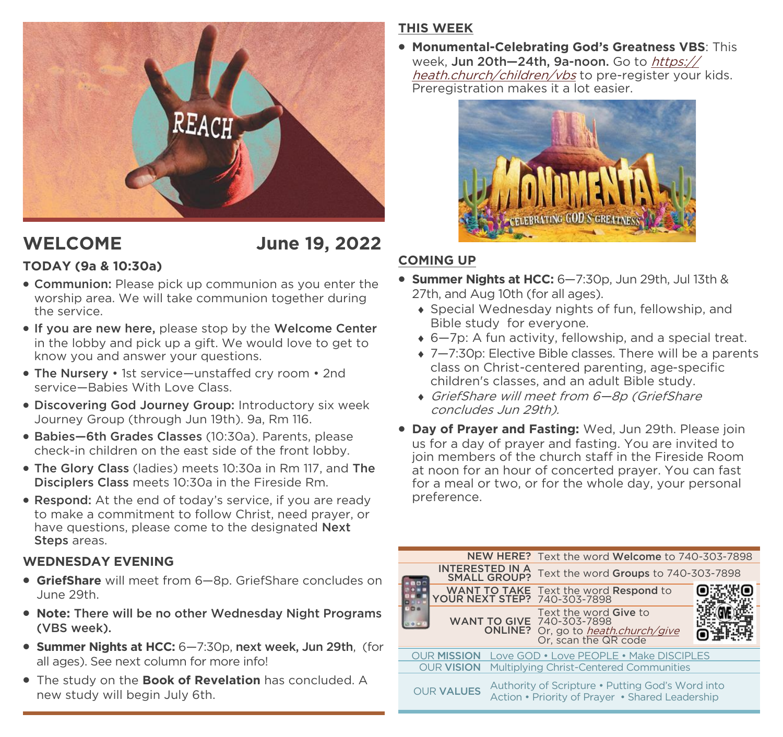

# **WELCOME June 19, 2022**

# **TODAY (9a & 10:30a)**

- Communion: Please pick up communion as you enter the worship area. We will take communion together during the service.
- If you are new here, please stop by the Welcome Center in the lobby and pick up a gift. We would love to get to know you and answer your questions.
- The Nursery 1st service—unstaffed cry room 2nd service—Babies With Love Class.
- Discovering God Journey Group: Introductory six week Journey Group (through Jun 19th). 9a, Rm 116.
- Babies—6th Grades Classes (10:30a). Parents, please check-in children on the east side of the front lobby.
- The Glory Class (ladies) meets 10:30a in Rm 117, and The Disciplers Class meets 10:30a in the Fireside Rm.
- Respond: At the end of today's service, if you are ready to make a commitment to follow Christ, need prayer, or have questions, please come to the designated **Next** Steps areas.

### **WEDNESDAY EVENING**

- **GriefShare** will meet from 6—8p. GriefShare concludes on June 29th.
- **Note:** There will be no other Wednesday Night Programs (VBS week).
- **Summer Nights at HCC:** 6—7:30p, next week, Jun 29th, (for all ages). See next column for more info!
- The study on the **Book of Revelation** has concluded. A new study will begin July 6th.

# **THIS WEEK**

• **Monumental-Celebrating God's Greatness VBS**: This week. Jun 20th-24th, 9a-noon. Go to [https://](https://heath.church/children/vbs) [heath.church/children/vbs](https://heath.church/children/vbs) to pre-register your kids. Preregistration makes it a lot easier.



# **COMING UP**

- **Summer Nights at HCC:** 6—7:30p, Jun 29th, Jul 13th & 27th, and Aug 10th (for all ages).
	- Special Wednesday nights of fun, fellowship, and Bible study for everyone.
	- 6—7p: A fun activity, fellowship, and a special treat.
	- ◆ 7–7:30p: Elective Bible classes. There will be a parents class on Christ-centered parenting, age-specific children's classes, and an adult Bible study.
	- GriefShare will meet from 6—8p (GriefShare concludes Jun 29th).
- **Day of Prayer and Fasting:** Wed, Jun 29th. Please join us for a day of prayer and fasting. You are invited to join members of the church staff in the Fireside Room at noon for an hour of concerted prayer. You can fast for a meal or two, or for the whole day, your personal preference.